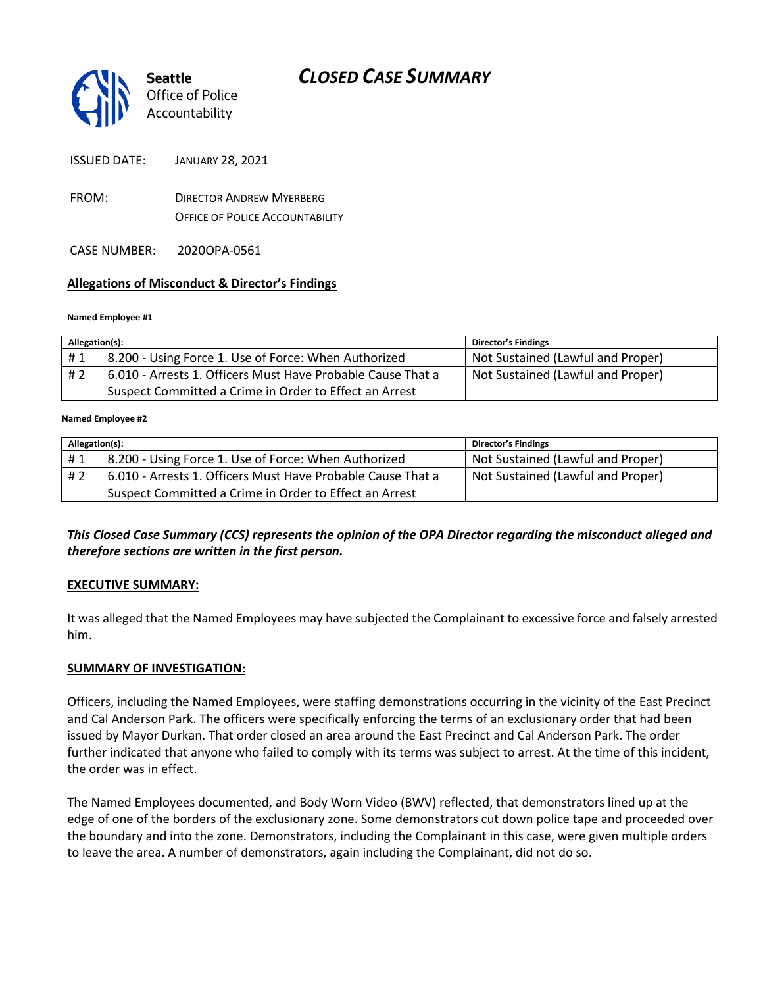# *CLOSED CASE SUMMARY*



ISSUED DATE: JANUARY 28, 2021

FROM: DIRECTOR ANDREW MYERBERG OFFICE OF POLICE ACCOUNTABILITY

CASE NUMBER: 2020OPA-0561

## **Allegations of Misconduct & Director's Findings**

#### **Named Employee #1**

| Allegation(s): |                                                             | <b>Director's Findings</b>        |
|----------------|-------------------------------------------------------------|-----------------------------------|
| #1             | 8.200 - Using Force 1. Use of Force: When Authorized        | Not Sustained (Lawful and Proper) |
| # 2            | 6.010 - Arrests 1. Officers Must Have Probable Cause That a | Not Sustained (Lawful and Proper) |
|                | Suspect Committed a Crime in Order to Effect an Arrest      |                                   |

#### Ι **Named Employee #2**

| Allegation(s): |                                                             | <b>Director's Findings</b>        |
|----------------|-------------------------------------------------------------|-----------------------------------|
| #1             | 8.200 - Using Force 1. Use of Force: When Authorized        | Not Sustained (Lawful and Proper) |
| #2             | 6.010 - Arrests 1. Officers Must Have Probable Cause That a | Not Sustained (Lawful and Proper) |
|                | Suspect Committed a Crime in Order to Effect an Arrest      |                                   |

*This Closed Case Summary (CCS) represents the opinion of the OPA Director regarding the misconduct alleged and therefore sections are written in the first person.* 

## **EXECUTIVE SUMMARY:**

It was alleged that the Named Employees may have subjected the Complainant to excessive force and falsely arrested him.

## **SUMMARY OF INVESTIGATION:**

Officers, including the Named Employees, were staffing demonstrations occurring in the vicinity of the East Precinct and Cal Anderson Park. The officers were specifically enforcing the terms of an exclusionary order that had been issued by Mayor Durkan. That order closed an area around the East Precinct and Cal Anderson Park. The order further indicated that anyone who failed to comply with its terms was subject to arrest. At the time of this incident, the order was in effect.

The Named Employees documented, and Body Worn Video (BWV) reflected, that demonstrators lined up at the edge of one of the borders of the exclusionary zone. Some demonstrators cut down police tape and proceeded over the boundary and into the zone. Demonstrators, including the Complainant in this case, were given multiple orders to leave the area. A number of demonstrators, again including the Complainant, did not do so.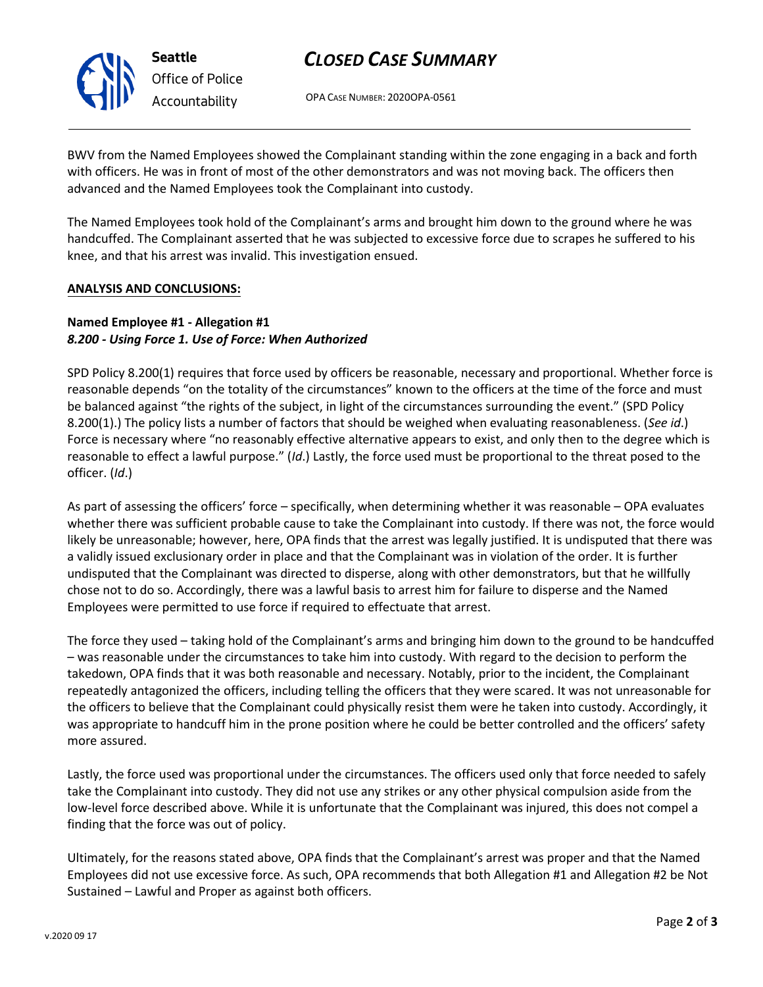# *CLOSED CASE SUMMARY*

OPA CASE NUMBER: 2020OPA-0561

BWV from the Named Employees showed the Complainant standing within the zone engaging in a back and forth with officers. He was in front of most of the other demonstrators and was not moving back. The officers then advanced and the Named Employees took the Complainant into custody.

The Named Employees took hold of the Complainant's arms and brought him down to the ground where he was handcuffed. The Complainant asserted that he was subjected to excessive force due to scrapes he suffered to his knee, and that his arrest was invalid. This investigation ensued.

#### **ANALYSIS AND CONCLUSIONS:**

### **Named Employee #1 - Allegation #1**  *8.200 - Using Force 1. Use of Force: When Authorized*

SPD Policy 8.200(1) requires that force used by officers be reasonable, necessary and proportional. Whether force is reasonable depends "on the totality of the circumstances" known to the officers at the time of the force and must be balanced against "the rights of the subject, in light of the circumstances surrounding the event." (SPD Policy 8.200(1).) The policy lists a number of factors that should be weighed when evaluating reasonableness. (*See id*.) Force is necessary where "no reasonably effective alternative appears to exist, and only then to the degree which is reasonable to effect a lawful purpose." (*Id*.) Lastly, the force used must be proportional to the threat posed to the officer. (*Id*.)

As part of assessing the officers' force – specifically, when determining whether it was reasonable – OPA evaluates whether there was sufficient probable cause to take the Complainant into custody. If there was not, the force would likely be unreasonable; however, here, OPA finds that the arrest was legally justified. It is undisputed that there was a validly issued exclusionary order in place and that the Complainant was in violation of the order. It is further undisputed that the Complainant was directed to disperse, along with other demonstrators, but that he willfully chose not to do so. Accordingly, there was a lawful basis to arrest him for failure to disperse and the Named Employees were permitted to use force if required to effectuate that arrest.

The force they used – taking hold of the Complainant's arms and bringing him down to the ground to be handcuffed – was reasonable under the circumstances to take him into custody. With regard to the decision to perform the takedown, OPA finds that it was both reasonable and necessary. Notably, prior to the incident, the Complainant repeatedly antagonized the officers, including telling the officers that they were scared. It was not unreasonable for the officers to believe that the Complainant could physically resist them were he taken into custody. Accordingly, it was appropriate to handcuff him in the prone position where he could be better controlled and the officers' safety more assured.

Lastly, the force used was proportional under the circumstances. The officers used only that force needed to safely take the Complainant into custody. They did not use any strikes or any other physical compulsion aside from the low-level force described above. While it is unfortunate that the Complainant was injured, this does not compel a finding that the force was out of policy.

Ultimately, for the reasons stated above, OPA finds that the Complainant's arrest was proper and that the Named Employees did not use excessive force. As such, OPA recommends that both Allegation #1 and Allegation #2 be Not Sustained – Lawful and Proper as against both officers.



**Seattle** *Office of Police Accountability*